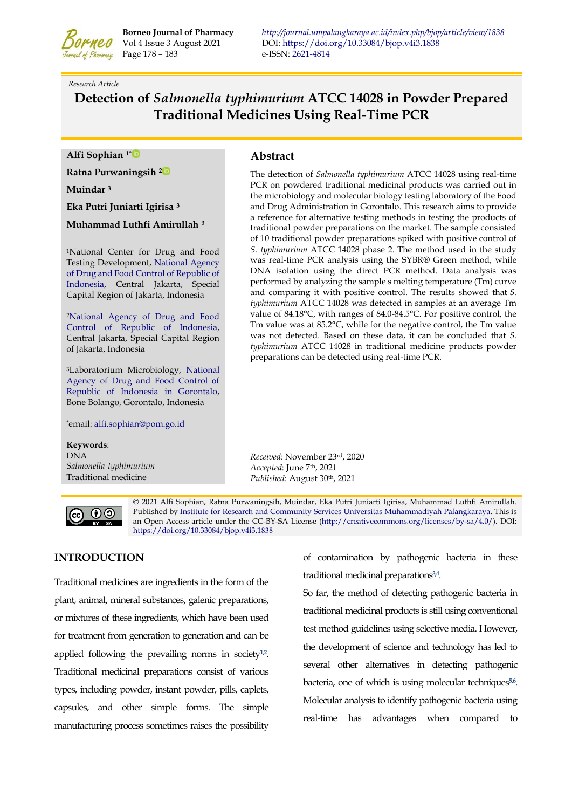

Page 178 – 183e-ISSN[: 2621-4814](https://portal.issn.org/resource/ISSN/2621-4814)

## *Research Article*

# **Detection of** *Salmonella typhimurium* **ATCC 14028 in Powder Prepared Traditional Medicines Using Real-Time PCR**

**Alfi Sophian 1[\\*](https://orcid.org/0000-0002-5206-2110)** 

**Ratna Purwaningsih 2** 

**Muindar <sup>3</sup>**

**Eka Putri Juniarti Igirisa <sup>3</sup>**

**Muhammad Luthfi Amirullah <sup>3</sup>**

<sup>1</sup>National Center for Drug and Food Testing Development, [National Agency](https://www.pom.go.id/)  [of Drug and Food Control of Republic of](https://www.pom.go.id/)  [Indonesia,](https://www.pom.go.id/) Central Jakarta, Special Capital Region of Jakarta, Indonesia

<sup>2</sup>[National Agency of Drug and Food](https://www.pom.go.id/)  [Control of Republic of Indonesia,](https://www.pom.go.id/)  Central Jakarta, Special Capital Region of Jakarta, Indonesia

<sup>3</sup>Laboratorium Microbiology, [National](https://gorontalo.pom.go.id/)  [Agency of Drug and Food Control of](https://gorontalo.pom.go.id/)  [Republic of Indonesia in Gorontalo,](https://gorontalo.pom.go.id/)  Bone Bolango, Gorontalo, Indonesia

\*email: [alfi.sophian@pom.go.id](mailto:alfi.sophian@pom.go.id)

**Keywords**: DNA *Salmonella typhimurium* Traditional medicine

# **Abstract**

The detection of *Salmonella typhimurium* ATCC 14028 using real-time PCR on powdered traditional medicinal products was carried out in the microbiology and molecular biology testing laboratory of the Food and Drug Administration in Gorontalo. This research aims to provide a reference for alternative testing methods in testing the products of traditional powder preparations on the market. The sample consisted of 10 traditional powder preparations spiked with positive control of *S. typhimurium* ATCC 14028 phase 2. The method used in the study was real-time PCR analysis using the SYBR® Green method, while DNA isolation using the direct PCR method. Data analysis was performed by analyzing the sample's melting temperature (Tm) curve and comparing it with positive control. The results showed that *S. typhimurium* ATCC 14028 was detected in samples at an average Tm value of 84.18°C, with ranges of 84.0-84.5°C. For positive control, the Tm value was at 85.2°C, while for the negative control, the Tm value was not detected. Based on these data, it can be concluded that *S. typhimurium* ATCC 14028 in traditional medicine products powder preparations can be detected using real-time PCR.

*Received*: November 23rd, 2020 *Accepted*: June 7th, 2021 *Published*: August 30th, 2021



© 2021 Alfi Sophian, Ratna Purwaningsih, Muindar, Eka Putri Juniarti Igirisa, Muhammad Luthfi Amirullah. Published b[y Institute for Research and Community Services](http://journal.umpalangkaraya.ac.id/) [Universitas Muhammadiyah Palangkaraya.](http://umpalangkaraya.ac.id/) This is an Open Access article under the CC-BY-SA License [\(http://creativecommons.org/licenses/by-sa/4.0/\)](http://creativecommons.org/licenses/by-sa/4.0/). DOI: [https://doi.org/10.33084/bjop.v4i3.1](https://doi.org/10.33084/bjop.v4i3.1838)838

## **INTRODUCTION**

Traditional medicines are ingredients in the form of the plant, animal, mineral substances, galenic preparations, or mixtures of these ingredients, which have been used for treatment from generation to generation and can be applied following the prevailing norms in society<sup>[1,](#page-4-0)[2](#page-4-1)</sup>. Traditional medicinal preparations consist of various types, including powder, instant powder, pills, caplets, capsules, and other simple forms. The simple manufacturing process sometimes raises the possibility

of contamination by pathogenic bacteria in these traditional medicinal preparations**[3,](#page-4-2)[4](#page-4-3)** .

So far, the method of detecting pathogenic bacteria in traditional medicinal products is still using conventional test method guidelines using selective media. However, the development of science and technology has led to several other alternatives in detecting pathogenic bacteria, one of which is using molecular techniques **[5,](#page-4-4)[6](#page-4-5)** . Molecular analysis to identify pathogenic bacteria using real-time has advantages when compared to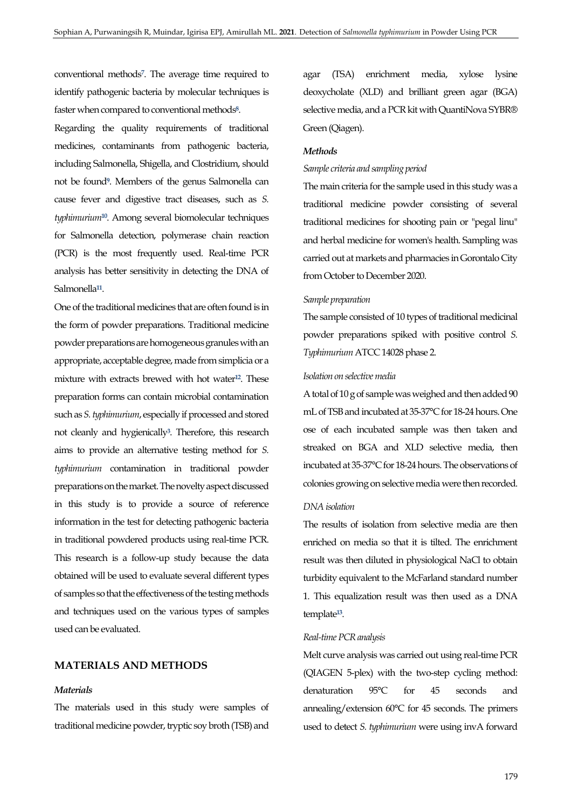conventional method[s](#page-4-6)**<sup>7</sup>** . The average time required to identify pathogenic bacteria by molecular techniques is faster when compared to conventional method[s](#page-4-7)**<sup>8</sup>** .

Regarding the quality requirements of traditional medicines, contaminants from pathogenic bacteria, including Salmonella, Shigella, and Clostridium, should not be foun[d](#page-4-8)**<sup>9</sup>** . Members of the genus Salmonella can cause fever and digestive tract diseases, such as *S. typhimurium***[10](#page-4-9)**. Among several biomolecular techniques for Salmonella detection, polymerase chain reaction (PCR) is the most frequently used. Real-time PCR analysis has better sensitivity in detecting the DNA of Salmonella**[11](#page-4-10)** .

One of the traditional medicines that are often found is in the form of powder preparations. Traditional medicine powder preparations are homogeneous granules with an appropriate, acceptable degree, made from simplicia or a mixture with extracts brewed with hot water**[12](#page-4-11)**. These preparation forms can contain microbial contamination such as *S. typhimurium*, especially if processed and stored not cleanly and hygienicall[y](#page-4-2)**<sup>3</sup>** . Therefore, this research aims to provide an alternative testing method for *S. typhimurium* contamination in traditional powder preparations on the market. The novelty aspect discussed in this study is to provide a source of reference information in the test for detecting pathogenic bacteria in traditional powdered products using real-time PCR. This research is a follow-up study because the data obtained will be used to evaluate several different types of samples so that the effectiveness of the testing methods and techniques used on the various types of samples used can be evaluated.

## **MATERIALS AND METHODS**

#### *Materials*

The materials used in this study were samples of traditional medicine powder, tryptic soy broth (TSB) and

agar (TSA) enrichment media, xylose lysine deoxycholate (XLD) and brilliant green agar (BGA) selective media, and a PCR kit with QuantiNova SYBR® Green (Qiagen).

#### *Methods*

#### *Sample criteria and sampling period*

The main criteria for the sample used in this study was a traditional medicine powder consisting of several traditional medicines for shooting pain or "pegal linu" and herbal medicine for women's health. Sampling was carried out at markets and pharmacies in Gorontalo City from October to December 2020.

#### *Sample preparation*

The sample consisted of 10 types of traditional medicinal powder preparations spiked with positive control *S. Typhimurium* ATCC 14028 phase 2.

## *Isolation on selective media*

A total of 10 g of sample was weighed and then added 90 mL of TSB and incubated at 35-37°C for 18-24 hours. One ose of each incubated sample was then taken and streaked on BGA and XLD selective media, then incubated at 35-37°C for 18-24 hours. The observations of colonies growing on selective media were then recorded.

## *DNA isolation*

The results of isolation from selective media are then enriched on media so that it is tilted. The enrichment result was then diluted in physiological NaCl to obtain turbidity equivalent to the McFarland standard number 1. This equalization result was then used as a DNA template**[13](#page-4-12)** .

## *Real-time PCR analysis*

Melt curve analysis was carried out using real-time PCR (QIAGEN 5-plex) with the two-step cycling method: denaturation 95°C for 45 seconds and annealing/extension 60°C for 45 seconds. The primers used to detect *S. typhimurium* were using invA forward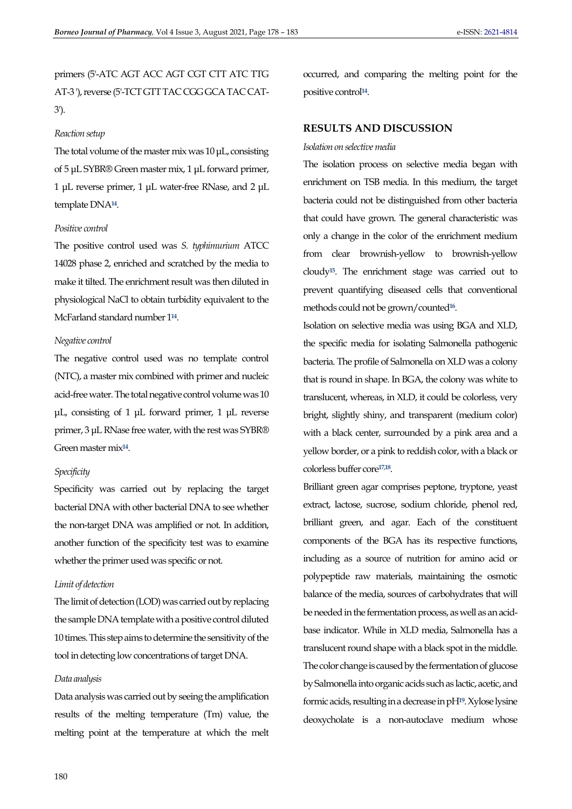primers (5'-ATC AGT ACC AGT CGT CTT ATC TTG AT-3 '), reverse (5'-TCT GTT TAC CGG GCA TAC CAT-3').

#### *Reaction setup*

The total volume of the master mix was 10 μL, consisting of 5 μL SYBR® Green master mix, 1 μL forward primer, 1 μL reverse primer, 1 μL water-free RNase, and 2 μL template DNA**[14](#page-5-0)** .

#### *Positive control*

The positive control used was *S. typhimurium* ATCC 14028 phase 2, enriched and scratched by the media to make it tilted. The enrichment result was then diluted in physiological NaCl to obtain turbidity equivalent to the McFarland standard number 1**[14](#page-5-0)** .

## *Negative control*

The negative control used was no template control (NTC), a master mix combined with primer and nucleic acid-free water. The total negative control volume was 10 μL, consisting of 1 μL forward primer, 1 μL reverse primer, 3 μL RNase free water, with the rest was SYBR® Green master mix**[14](#page-5-0)** .

## *Specificity*

Specificity was carried out by replacing the target bacterial DNA with other bacterial DNA to see whether the non-target DNA was amplified or not. In addition, another function of the specificity test was to examine whether the primer used was specific or not.

#### *Limit of detection*

The limit of detection (LOD) was carried out by replacing the sample DNA template with a positive control diluted 10 times. This step aims to determine the sensitivity of the tool in detecting low concentrations of target DNA.

#### *Data analysis*

Data analysis was carried out by seeing the amplification results of the melting temperature (Tm) value, the melting point at the temperature at which the melt

occurred, and comparing the melting point for the positive control**[14](#page-5-0)** .

#### **RESULTS AND DISCUSSION**

#### *Isolation on selective media*

The isolation process on selective media began with enrichment on TSB media. In this medium, the target bacteria could not be distinguished from other bacteria that could have grown. The general characteristic was only a change in the color of the enrichment medium from clear brownish-yellow to brownish-yellow cloudy**[15](#page-5-1)**. The enrichment stage was carried out to prevent quantifying diseased cells that conventional methods could not be grown/counted**[16](#page-5-2)** .

Isolation on selective media was using BGA and XLD, the specific media for isolating Salmonella pathogenic bacteria. The profile of Salmonella on XLD was a colony that is round in shape. In BGA, the colony was white to translucent, whereas, in XLD, it could be colorless, very bright, slightly shiny, and transparent (medium color) with a black center, surrounded by a pink area and a yellow border, or a pink to reddish color, with a black or colorless buffer core**[17,](#page-5-3)[18](#page-5-4)** .

Brilliant green agar comprises peptone, tryptone, yeast extract, lactose, sucrose, sodium chloride, phenol red, brilliant green, and agar. Each of the constituent components of the BGA has its respective functions, including as a source of nutrition for amino acid or polypeptide raw materials, maintaining the osmotic balance of the media, sources of carbohydrates that will be needed in the fermentation process, as well as an acidbase indicator. While in XLD media, Salmonella has a translucent round shape with a black spot in the middle. The color change is caused by the fermentation of glucose by Salmonella into organic acids such as lactic, acetic, and formic acids, resulting in a decrease in pH**[19](#page-5-5)**. Xylose lysine deoxycholate is a non-autoclave medium whose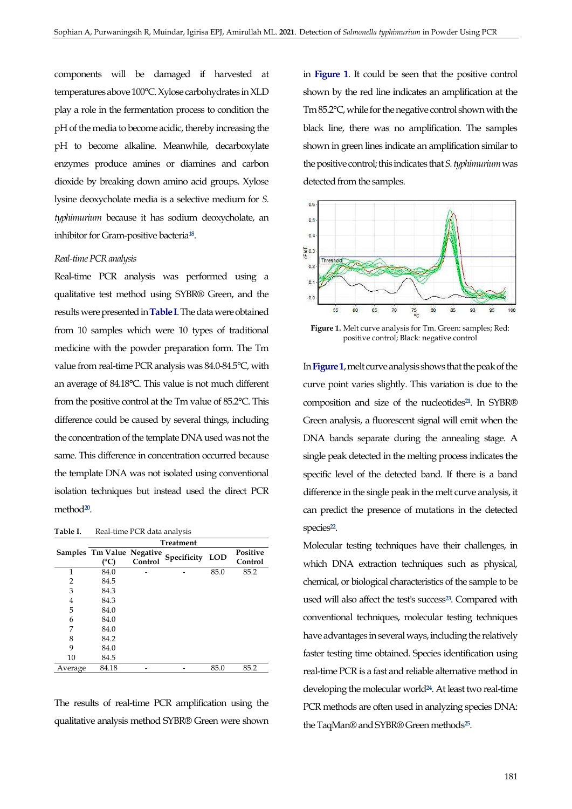components will be damaged if harvested at temperatures above 100°C. Xylose carbohydrates in XLD play a role in the fermentation process to condition the pH of the media to become acidic, thereby increasing the pH to become alkaline. Meanwhile, decarboxylate enzymes produce amines or diamines and carbon dioxide by breaking down amino acid groups. Xylose lysine deoxycholate media is a selective medium for *S. typhimurium* because it has sodium deoxycholate, an inhibitor for Gram-positive bacteria**[18](#page-5-4)** .

#### *Real-time PCR analysis*

Real-time PCR analysis was performed using a qualitative test method using SYBR® Green, and the results were presented in **[Table I](#page-3-0)**. The data were obtained from 10 samples which were 10 types of traditional medicine with the powder preparation form. The Tm value from real-time PCR analysis was 84.0-84.5°C, with an average of 84.18°C. This value is not much different from the positive control at the Tm value of 85.2°C. This difference could be caused by several things, including the concentration of the template DNA used was not the same. This difference in concentration occurred because the template DNA was not isolated using conventional isolation techniques but instead used the direct PCR method**[20](#page-5-6)** .

<span id="page-3-0"></span>Table I. Real-time PCR data analysis

|         | <b>Treatment</b>          |         |             |            |                     |
|---------|---------------------------|---------|-------------|------------|---------------------|
|         | Samples Tm Value Negative | Control | Specificity | <b>LOD</b> | Positive<br>Control |
| 1       | 84.0                      |         |             | 85.0       | 85.2                |
| 2       | 84.5                      |         |             |            |                     |
| 3       | 84.3                      |         |             |            |                     |
| 4       | 84.3                      |         |             |            |                     |
| 5       | 84.0                      |         |             |            |                     |
| 6       | 84.0                      |         |             |            |                     |
| 7       | 84.0                      |         |             |            |                     |
| 8       | 84.2                      |         |             |            |                     |
| 9       | 84.0                      |         |             |            |                     |
| 10      | 84.5                      |         |             |            |                     |
| Average | 84.18                     |         |             | 85.0       | 85.2                |

The results of real-time PCR amplification using the qualitative analysis method SYBR® Green were shown in **[Figure 1](#page-3-1)**. It could be seen that the positive control shown by the red line indicates an amplification at the Tm 85.2°C, while for the negative control shown with the black line, there was no amplification. The samples shown in green lines indicate an amplification similar to the positive control; this indicates that *S. typhimurium* was detected from the samples.

<span id="page-3-1"></span>

**Figure 1.** Melt curve analysis for Tm. Green: samples; Red: positive control; Black: negative control

In **[Figure 1](#page-3-1)**, melt curve analysis shows that the peak of the curve point varies slightly. This variation is due to the composition and size of the nucleotides**[21](#page-5-7)**. In SYBR® Green analysis, a fluorescent signal will emit when the DNA bands separate during the annealing stage. A single peak detected in the melting process indicates the specific level of the detected band. If there is a band difference in the single peak in the melt curve analysis, it can predict the presence of mutations in the detected species**[22](#page-5-8)** .

Molecular testing techniques have their challenges, in which DNA extraction techniques such as physical, chemical, or biological characteristics of the sample to be used will also affect the test's success**[23](#page-5-9)**. Compared with conventional techniques, molecular testing techniques have advantages in several ways, including the relatively faster testing time obtained. Species identification using real-time PCR is a fast and reliable alternative method in developing the molecular world**[24](#page-5-10)**. At least two real-time PCR methods are often used in analyzing species DNA: the TaqMan® and SYBR® Green methods**[25](#page-5-11)** .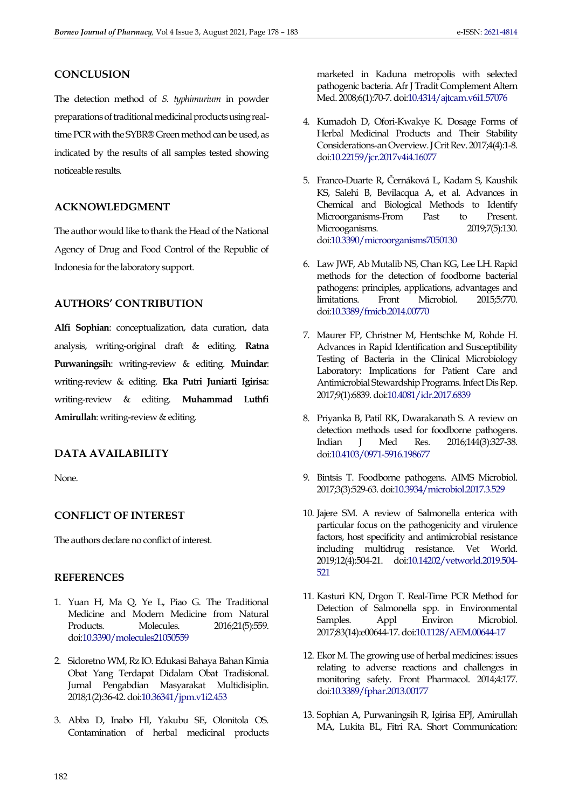# **CONCLUSION**

The detection method of *S. typhimurium* in powder preparations of traditional medicinal products using realtime PCR with the SYBR® Green method can be used, as indicated by the results of all samples tested showing noticeable results.

# **ACKNOWLEDGMENT**

The author would like to thank the Head of the National Agency of Drug and Food Control of the Republic of Indonesia for the laboratory support.

# **AUTHORS' CONTRIBUTION**

**Alfi Sophian**: conceptualization, data curation, data analysis, writing-original draft & editing. **Ratna Purwaningsih**: writing-review & editing. **Muindar**: writing-review & editing. **Eka Putri Juniarti Igirisa**: writing-review & editing. **Muhammad Luthfi Amirullah**: writing-review & editing.

# **DATA AVAILABILITY**

None.

# **CONFLICT OF INTEREST**

The authors declare no conflict of interest.

# **REFERENCES**

- <span id="page-4-0"></span>1. Yuan H, Ma Q, Ye L, Piao G. The Traditional Medicine and Modern Medicine from Natural Products. Molecules. 2016;21(5):559. do[i:10.3390/molecules21050559](https://dx.doi.org/10.3390/molecules21050559)
- <span id="page-4-1"></span>2. Sidoretno WM, Rz IO. Edukasi Bahaya Bahan Kimia Obat Yang Terdapat Didalam Obat Tradisional. Jurnal Pengabdian Masyarakat Multidisiplin. 2018;1(2):36-42. do[i:10.36341/jpm.v1i2.453](https://doi.org/10.36341/jpm.v1i2.453)
- <span id="page-4-2"></span>3. Abba D, Inabo HI, Yakubu SE, Olonitola OS. Contamination of herbal medicinal products

marketed in Kaduna metropolis with selected pathogenic bacteria. Afr J Tradit Complement Altern Med. 2008;6(1):70-7. do[i:10.4314/ajtcam.v6i1.57076](https://doi.org/10.4314/ajtcam.v6i1.57076)

- <span id="page-4-3"></span>4. Kumadoh D, Ofori-Kwakye K. Dosage Forms of Herbal Medicinal Products and Their Stability Considerations-an Overview. J Crit Rev. 2017;4(4):1-8. do[i:10.22159/jcr.2017v4i4.16077](http://dx.doi.org/10.22159/jcr.2017v4i4.16077)
- <span id="page-4-4"></span>5. Franco-Duarte R, Černáková L, Kadam S, Kaushik KS, Salehi B, Bevilacqua A, et al. Advances in Chemical and Biological Methods to Identify Microorganisms-From Past to Microoganisms. 2019;7(5):130. do[i:10.3390/microorganisms7050130](https://doi.org/10.3390/microorganisms7050130)
- <span id="page-4-5"></span>6. Law JWF, Ab Mutalib NS, Chan KG, Lee LH. Rapid methods for the detection of foodborne bacterial pathogens: principles, applications, advantages and<br>
limitations. Front Microbiol. 2015;5:770. limitations. Front Microbiol. 2015;5:770. do[i:10.3389/fmicb.2014.00770](https://doi.org/10.3389/fmicb.2014.00770)
- <span id="page-4-6"></span>7. Maurer FP, Christner M, Hentschke M, Rohde H. Advances in Rapid Identification and Susceptibility Testing of Bacteria in the Clinical Microbiology Laboratory: Implications for Patient Care and Antimicrobial Stewardship Programs. Infect Dis Rep. 2017;9(1):6839. do[i:10.4081/idr.2017.6839](https://doi.org/10.4081/idr.2017.6839)
- <span id="page-4-7"></span>8. Priyanka B, Patil RK, Dwarakanath S. A review on detection methods used for foodborne pathogens. Indian J Med Res. 2016;144(3):327-38. do[i:10.4103/0971-5916.198677](https://dx.doi.org/10.4103/0971-5916.198677)
- <span id="page-4-8"></span>9. Bintsis T. Foodborne pathogens. AIMS Microbiol. 2017;3(3):529-63. do[i:10.3934/microbiol.2017.3.529](https://dx.doi.org/10.3934/microbiol.2017.3.529)
- <span id="page-4-9"></span>10. Jajere SM. A review of Salmonella enterica with particular focus on the pathogenicity and virulence factors, host specificity and antimicrobial resistance including multidrug resistance. Vet World. 2019;12(4):504-21. do[i:10.14202/vetworld.2019.504-](https://doi.org/10.14202/vetworld.2019.504-521) [521](https://doi.org/10.14202/vetworld.2019.504-521)
- <span id="page-4-10"></span>11. Kasturi KN, Drgon T. Real-Time PCR Method for Detection of Salmonella spp. in Environmental Samples. Appl Environ Microbiol. 2017;83(14):e00644-17. do[i:10.1128/AEM.00644-17](https://dx.doi.org/10.1128/AEM.00644-17)
- <span id="page-4-11"></span>12. Ekor M. The growing use of herbal medicines: issues relating to adverse reactions and challenges in monitoring safety. Front Pharmacol. 2014;4:177. do[i:10.3389/fphar.2013.00177](https://doi.org/10.3389/fphar.2013.00177)
- <span id="page-4-12"></span>13. Sophian A, Purwaningsih R, Igirisa EPJ, Amirullah MA, Lukita BL, Fitri RA. Short Communication: